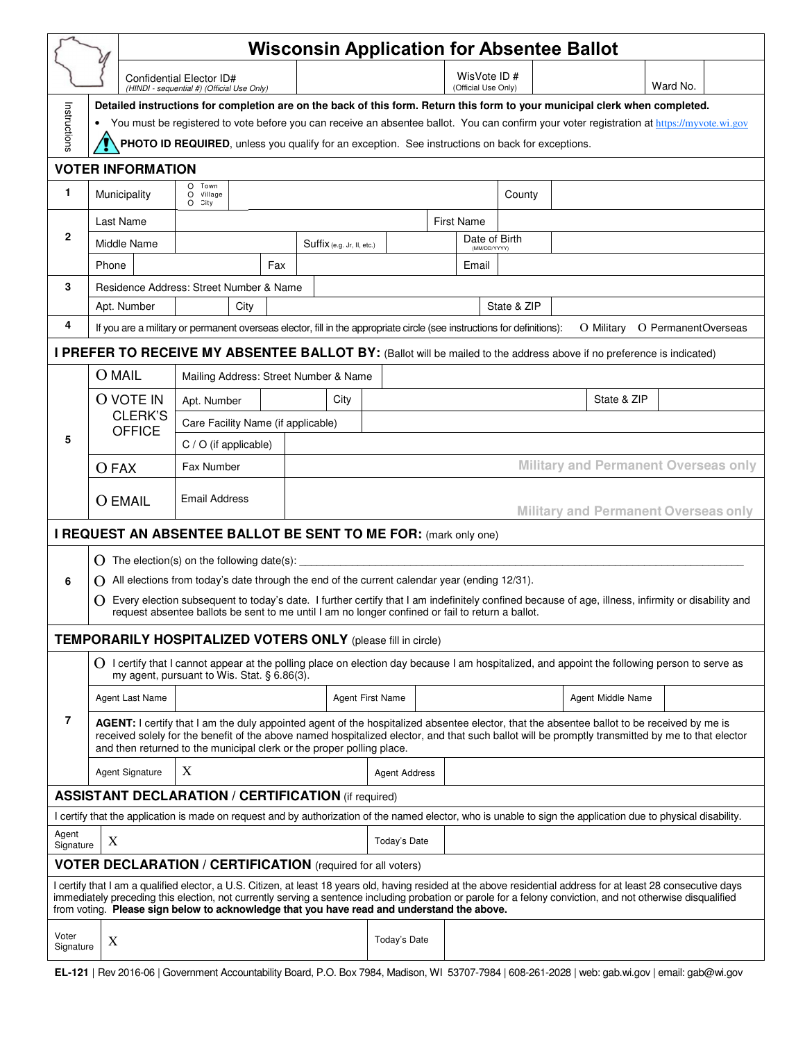|                                                                                                                                                                                                                                                                                                                                                                                                                               |                                                                                                                                                                                                                                                                                                                                                                         | <b>Wisconsin Application for Absentee Ballot</b>                                                                                                                                                                                                         |                            |                                             |  |                               |                                             |                                |          |  |  |
|-------------------------------------------------------------------------------------------------------------------------------------------------------------------------------------------------------------------------------------------------------------------------------------------------------------------------------------------------------------------------------------------------------------------------------|-------------------------------------------------------------------------------------------------------------------------------------------------------------------------------------------------------------------------------------------------------------------------------------------------------------------------------------------------------------------------|----------------------------------------------------------------------------------------------------------------------------------------------------------------------------------------------------------------------------------------------------------|----------------------------|---------------------------------------------|--|-------------------------------|---------------------------------------------|--------------------------------|----------|--|--|
|                                                                                                                                                                                                                                                                                                                                                                                                                               |                                                                                                                                                                                                                                                                                                                                                                         | Confidential Elector ID#                                                                                                                                                                                                                                 |                            |                                             |  | WisVote ID#                   |                                             |                                | Ward No. |  |  |
|                                                                                                                                                                                                                                                                                                                                                                                                                               | (Official Use Only)<br>(HINDI - sequential #) (Official Use Only)<br>Detailed instructions for completion are on the back of this form. Return this form to your municipal clerk when completed.                                                                                                                                                                        |                                                                                                                                                                                                                                                          |                            |                                             |  |                               |                                             |                                |          |  |  |
| Instructions                                                                                                                                                                                                                                                                                                                                                                                                                  | You must be registered to vote before you can receive an absentee ballot. You can confirm your voter registration at https://myvote.wi.gov                                                                                                                                                                                                                              |                                                                                                                                                                                                                                                          |                            |                                             |  |                               |                                             |                                |          |  |  |
|                                                                                                                                                                                                                                                                                                                                                                                                                               | PHOTO ID REQUIRED, unless you qualify for an exception. See instructions on back for exceptions.                                                                                                                                                                                                                                                                        |                                                                                                                                                                                                                                                          |                            |                                             |  |                               |                                             |                                |          |  |  |
| <b>VOTER INFORMATION</b>                                                                                                                                                                                                                                                                                                                                                                                                      |                                                                                                                                                                                                                                                                                                                                                                         |                                                                                                                                                                                                                                                          |                            |                                             |  |                               |                                             |                                |          |  |  |
| 1                                                                                                                                                                                                                                                                                                                                                                                                                             | Municipality                                                                                                                                                                                                                                                                                                                                                            | Town<br>$\Omega$<br>Village<br>$\circ$<br>City<br>O                                                                                                                                                                                                      |                            |                                             |  |                               | County                                      |                                |          |  |  |
| $\mathbf{2}$                                                                                                                                                                                                                                                                                                                                                                                                                  | Last Name                                                                                                                                                                                                                                                                                                                                                               |                                                                                                                                                                                                                                                          |                            | <b>First Name</b>                           |  |                               |                                             |                                |          |  |  |
|                                                                                                                                                                                                                                                                                                                                                                                                                               | Middle Name                                                                                                                                                                                                                                                                                                                                                             |                                                                                                                                                                                                                                                          | Suffix (e.g. Jr, II, etc.) |                                             |  | Date of Birth<br>(MM/DD/YYYY) |                                             |                                |          |  |  |
|                                                                                                                                                                                                                                                                                                                                                                                                                               | Phone                                                                                                                                                                                                                                                                                                                                                                   |                                                                                                                                                                                                                                                          | Fax                        |                                             |  | Email                         |                                             |                                |          |  |  |
| 3                                                                                                                                                                                                                                                                                                                                                                                                                             |                                                                                                                                                                                                                                                                                                                                                                         | Residence Address: Street Number & Name                                                                                                                                                                                                                  |                            |                                             |  |                               |                                             |                                |          |  |  |
|                                                                                                                                                                                                                                                                                                                                                                                                                               | Apt. Number                                                                                                                                                                                                                                                                                                                                                             | State & ZIP<br>City                                                                                                                                                                                                                                      |                            |                                             |  |                               |                                             |                                |          |  |  |
| 4                                                                                                                                                                                                                                                                                                                                                                                                                             |                                                                                                                                                                                                                                                                                                                                                                         | If you are a military or permanent overseas elector, fill in the appropriate circle (see instructions for definitions):                                                                                                                                  |                            |                                             |  |                               |                                             | O Military O PermanentOverseas |          |  |  |
|                                                                                                                                                                                                                                                                                                                                                                                                                               |                                                                                                                                                                                                                                                                                                                                                                         | I PREFER TO RECEIVE MY ABSENTEE BALLOT BY: (Ballot will be mailed to the address above if no preference is indicated)                                                                                                                                    |                            |                                             |  |                               |                                             |                                |          |  |  |
|                                                                                                                                                                                                                                                                                                                                                                                                                               | <b>O</b> MAIL                                                                                                                                                                                                                                                                                                                                                           | Mailing Address: Street Number & Name                                                                                                                                                                                                                    |                            |                                             |  |                               |                                             |                                |          |  |  |
|                                                                                                                                                                                                                                                                                                                                                                                                                               | O VOTE IN<br>CLERK'S<br><b>OFFICE</b>                                                                                                                                                                                                                                                                                                                                   | Apt. Number                                                                                                                                                                                                                                              | City                       |                                             |  |                               |                                             | State & ZIP                    |          |  |  |
|                                                                                                                                                                                                                                                                                                                                                                                                                               |                                                                                                                                                                                                                                                                                                                                                                         | Care Facility Name (if applicable)                                                                                                                                                                                                                       |                            |                                             |  |                               |                                             |                                |          |  |  |
| 5                                                                                                                                                                                                                                                                                                                                                                                                                             |                                                                                                                                                                                                                                                                                                                                                                         | $C / O$ (if applicable)                                                                                                                                                                                                                                  |                            |                                             |  |                               |                                             |                                |          |  |  |
|                                                                                                                                                                                                                                                                                                                                                                                                                               | O FAX                                                                                                                                                                                                                                                                                                                                                                   | Fax Number                                                                                                                                                                                                                                               |                            |                                             |  |                               | <b>Military and Permanent Overseas only</b> |                                |          |  |  |
|                                                                                                                                                                                                                                                                                                                                                                                                                               |                                                                                                                                                                                                                                                                                                                                                                         | <b>Email Address</b>                                                                                                                                                                                                                                     |                            |                                             |  |                               |                                             |                                |          |  |  |
|                                                                                                                                                                                                                                                                                                                                                                                                                               | <b>O EMAIL</b>                                                                                                                                                                                                                                                                                                                                                          |                                                                                                                                                                                                                                                          |                            | <b>Military and Permanent Overseas only</b> |  |                               |                                             |                                |          |  |  |
|                                                                                                                                                                                                                                                                                                                                                                                                                               | I REQUEST AN ABSENTEE BALLOT BE SENT TO ME FOR: (mark only one)                                                                                                                                                                                                                                                                                                         |                                                                                                                                                                                                                                                          |                            |                                             |  |                               |                                             |                                |          |  |  |
|                                                                                                                                                                                                                                                                                                                                                                                                                               |                                                                                                                                                                                                                                                                                                                                                                         | $\Omega$ The election(s) on the following date(s):                                                                                                                                                                                                       |                            |                                             |  |                               |                                             |                                |          |  |  |
| 6                                                                                                                                                                                                                                                                                                                                                                                                                             |                                                                                                                                                                                                                                                                                                                                                                         | $\Omega$ All elections from today's date through the end of the current calendar year (ending 12/31).                                                                                                                                                    |                            |                                             |  |                               |                                             |                                |          |  |  |
|                                                                                                                                                                                                                                                                                                                                                                                                                               |                                                                                                                                                                                                                                                                                                                                                                         | () Every election subsequent to today's date. I further certify that I am indefinitely confined because of age, illness, infirmity or disability and<br>request absentee ballots be sent to me until I am no longer confined or fail to return a ballot. |                            |                                             |  |                               |                                             |                                |          |  |  |
|                                                                                                                                                                                                                                                                                                                                                                                                                               |                                                                                                                                                                                                                                                                                                                                                                         | <b>TEMPORARILY HOSPITALIZED VOTERS ONLY (please fill in circle)</b>                                                                                                                                                                                      |                            |                                             |  |                               |                                             |                                |          |  |  |
|                                                                                                                                                                                                                                                                                                                                                                                                                               | O I certify that I cannot appear at the polling place on election day because I am hospitalized, and appoint the following person to serve as<br>my agent, pursuant to Wis. Stat. § 6.86(3).                                                                                                                                                                            |                                                                                                                                                                                                                                                          |                            |                                             |  |                               |                                             |                                |          |  |  |
|                                                                                                                                                                                                                                                                                                                                                                                                                               | Agent Last Name                                                                                                                                                                                                                                                                                                                                                         |                                                                                                                                                                                                                                                          |                            | <b>Agent First Name</b>                     |  |                               |                                             | Agent Middle Name              |          |  |  |
| 7                                                                                                                                                                                                                                                                                                                                                                                                                             | AGENT: I certify that I am the duly appointed agent of the hospitalized absentee elector, that the absentee ballot to be received by me is<br>received solely for the benefit of the above named hospitalized elector, and that such ballot will be promptly transmitted by me to that elector<br>and then returned to the municipal clerk or the proper polling place. |                                                                                                                                                                                                                                                          |                            |                                             |  |                               |                                             |                                |          |  |  |
|                                                                                                                                                                                                                                                                                                                                                                                                                               | Agent Signature                                                                                                                                                                                                                                                                                                                                                         | $\mathbf X$                                                                                                                                                                                                                                              |                            | <b>Agent Address</b>                        |  |                               |                                             |                                |          |  |  |
|                                                                                                                                                                                                                                                                                                                                                                                                                               |                                                                                                                                                                                                                                                                                                                                                                         | <b>ASSISTANT DECLARATION / CERTIFICATION (if required)</b>                                                                                                                                                                                               |                            |                                             |  |                               |                                             |                                |          |  |  |
| I certify that the application is made on request and by authorization of the named elector, who is unable to sign the application due to physical disability.                                                                                                                                                                                                                                                                |                                                                                                                                                                                                                                                                                                                                                                         |                                                                                                                                                                                                                                                          |                            |                                             |  |                               |                                             |                                |          |  |  |
| Agent<br>X<br>Signature                                                                                                                                                                                                                                                                                                                                                                                                       |                                                                                                                                                                                                                                                                                                                                                                         |                                                                                                                                                                                                                                                          |                            | Today's Date                                |  |                               |                                             |                                |          |  |  |
|                                                                                                                                                                                                                                                                                                                                                                                                                               | <b>VOTER DECLARATION / CERTIFICATION</b> (required for all voters)                                                                                                                                                                                                                                                                                                      |                                                                                                                                                                                                                                                          |                            |                                             |  |                               |                                             |                                |          |  |  |
| I certify that I am a qualified elector, a U.S. Citizen, at least 18 years old, having resided at the above residential address for at least 28 consecutive days<br>immediately preceding this election, not currently serving a sentence including probation or parole for a felony conviction, and not otherwise disqualified<br>from voting. Please sign below to acknowledge that you have read and understand the above. |                                                                                                                                                                                                                                                                                                                                                                         |                                                                                                                                                                                                                                                          |                            |                                             |  |                               |                                             |                                |          |  |  |
| Voter<br>Signature                                                                                                                                                                                                                                                                                                                                                                                                            | X                                                                                                                                                                                                                                                                                                                                                                       |                                                                                                                                                                                                                                                          |                            | Today's Date                                |  |                               |                                             |                                |          |  |  |
|                                                                                                                                                                                                                                                                                                                                                                                                                               |                                                                                                                                                                                                                                                                                                                                                                         | EL-121   Rev 2016-06   Government Accountability Board, P.O. Box 7984, Madison, WI 53707-7984   608-261-2028   web: gab.wi.gov   email: gab@wi.gov                                                                                                       |                            |                                             |  |                               |                                             |                                |          |  |  |